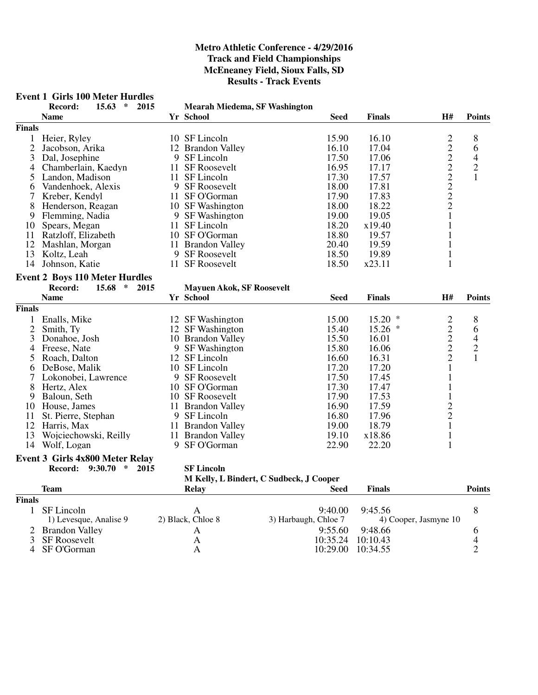#### **Event 1 Girls 100 Meter Hurdles**

|                | Record:<br>$15.63$ *                                      | 2015 | <b>Mearah Miedema, SF Washington</b> |                                         |               |                                                 |                |
|----------------|-----------------------------------------------------------|------|--------------------------------------|-----------------------------------------|---------------|-------------------------------------------------|----------------|
|                | <b>Name</b>                                               |      | Yr School                            | <b>Seed</b>                             | <b>Finals</b> | H#                                              | <b>Points</b>  |
| <b>Finals</b>  |                                                           |      |                                      |                                         |               |                                                 |                |
| $\mathbf{1}$   | Heier, Ryley                                              |      | 10 SF Lincoln                        | 15.90                                   | 16.10         | $\overline{c}$                                  | 8              |
| $\overline{2}$ | Jacobson, Arika                                           |      | 12 Brandon Valley                    | 16.10                                   | 17.04         |                                                 | 6              |
| 3              | Dal, Josephine                                            |      | 9 SF Lincoln                         | 17.50                                   | 17.06         | 2222222                                         | $\overline{4}$ |
| 4              | Chamberlain, Kaedyn                                       |      | 11 SF Roosevelt                      | 16.95                                   | 17.17         |                                                 | $\overline{c}$ |
| 5              | Landon, Madison                                           |      | 11 SF Lincoln                        | 17.30                                   | 17.57         |                                                 | $\mathbf{1}$   |
| 6              | Vandenhoek, Alexis                                        |      | 9 SF Roosevelt                       | 18.00                                   | 17.81         |                                                 |                |
| 7              | Kreber, Kendyl                                            |      | 11 SF O'Gorman                       | 17.90                                   | 17.83         |                                                 |                |
| 8              | Henderson, Reagan                                         |      | 10 SF Washington                     | 18.00                                   | 18.22         |                                                 |                |
|                | 9 Flemming, Nadia                                         |      | 9 SF Washington                      | 19.00                                   | 19.05         | $\mathbf{1}$                                    |                |
| 10             | Spears, Megan                                             |      | 11 SF Lincoln                        | 18.20                                   | x19.40        | $\mathbf{1}$                                    |                |
| 11             | Ratzloff, Elizabeth                                       |      | 10 SF O'Gorman                       | 18.80                                   | 19.57         | 1                                               |                |
| 12             | Mashlan, Morgan                                           |      | 11 Brandon Valley                    | 20.40                                   | 19.59         | $\mathbf{1}$                                    |                |
|                | 13 Koltz, Leah                                            |      | 9 SF Roosevelt                       | 18.50                                   | 19.89         | $\mathbf{1}$                                    |                |
|                | 14 Johnson, Katie                                         |      | 11 SF Roosevelt                      | 18.50                                   | x23.11        | $\mathbf{1}$                                    |                |
|                |                                                           |      |                                      |                                         |               |                                                 |                |
|                | <b>Event 2 Boys 110 Meter Hurdles</b>                     |      |                                      |                                         |               |                                                 |                |
|                | Record:<br>15.68<br>$\ast$                                | 2015 | <b>Mayuen Akok, SF Roosevelt</b>     |                                         |               |                                                 |                |
|                | <b>Name</b>                                               |      | Yr School                            | <b>Seed</b>                             | <b>Finals</b> | H#                                              | <b>Points</b>  |
| <b>Finals</b>  |                                                           |      |                                      |                                         |               |                                                 |                |
| $\mathbf{1}$   | Enalls, Mike                                              |      | 12 SF Washington                     | 15.00                                   | $15.20*$      |                                                 | 8              |
| $\mathfrak{2}$ | Smith, Ty                                                 |      | 12 SF Washington                     | 15.40                                   | $15.26*$      |                                                 | 6              |
| 3              | Donahoe, Josh                                             |      | 10 Brandon Valley                    | 15.50                                   | 16.01         | $\begin{array}{c} 2 \\ 2 \\ 2 \\ 2 \end{array}$ | $\overline{4}$ |
| 4              | Freese, Nate                                              |      | 9 SF Washington                      | 15.80                                   | 16.06         |                                                 | $\overline{c}$ |
| 5              | Roach, Dalton                                             |      | 12 SF Lincoln                        | 16.60                                   | 16.31         |                                                 | $\mathbf{1}$   |
| 6              | DeBose, Malik                                             |      | 10 SF Lincoln                        | 17.20                                   | 17.20         | $\mathbf{1}$                                    |                |
| 7              | Lokonobei, Lawrence                                       |      | 9 SF Roosevelt                       | 17.50                                   | 17.45         | $\mathbf{1}$                                    |                |
| 8              | Hertz, Alex                                               |      | 10 SF O'Gorman                       | 17.30                                   | 17.47         | $\mathbf{1}$                                    |                |
| 9              | Baloun, Seth                                              |      | 10 SF Roosevelt                      | 17.90                                   | 17.53         | $\mathbf{1}$                                    |                |
|                | 10 House, James                                           |      | 11 Brandon Valley                    | 16.90                                   | 17.59         |                                                 |                |
| 11             | St. Pierre, Stephan                                       |      | 9 SF Lincoln                         | 16.80                                   | 17.96         | $\frac{2}{2}$                                   |                |
|                | 12 Harris, Max                                            |      | 11 Brandon Valley                    | 19.00                                   | 18.79         | $\mathbf{1}$                                    |                |
| 13             | Wojciechowski, Reilly                                     |      | 11 Brandon Valley                    | 19.10                                   | x18.86        | $\mathbf{1}$                                    |                |
|                | 14 Wolf, Logan                                            |      | 9 SF O'Gorman                        | 22.90                                   | 22.20         | $\mathbf{1}$                                    |                |
|                |                                                           |      |                                      |                                         |               |                                                 |                |
|                | Event 3 Girls 4x800 Meter Relay<br>Record: 9:30.70 * 2015 |      |                                      |                                         |               |                                                 |                |
|                |                                                           |      | <b>SF Lincoln</b>                    | M Kelly, L Bindert, C Sudbeck, J Cooper |               |                                                 |                |
|                | <b>Team</b>                                               |      |                                      | <b>Seed</b>                             |               |                                                 | <b>Points</b>  |
|                |                                                           |      | Relay                                |                                         | <b>Finals</b> |                                                 |                |
| <b>Finals</b>  |                                                           |      |                                      |                                         |               |                                                 |                |
| $\mathbf{1}$   | SF Lincoln                                                |      | $\mathbf{A}$                         | 9:40.00                                 | 9:45.56       |                                                 | $8\,$          |
|                | 1) Levesque, Analise 9                                    |      | 2) Black, Chloe 8                    | 3) Harbaugh, Chloe 7                    |               | 4) Cooper, Jasmyne 10                           |                |
|                | 2 Brandon Valley                                          |      | A                                    | 9:55.60                                 | 9:48.66       |                                                 | 6              |
| $\overline{3}$ | <b>SF Roosevelt</b>                                       |      | A                                    | 10:35.24                                | 10:10.43      |                                                 | 4              |
| $\overline{4}$ | SF O'Gorman                                               |      | $\mathbf{A}$                         | 10:29.00                                | 10:34.55      |                                                 | $\overline{2}$ |
|                |                                                           |      |                                      |                                         |               |                                                 |                |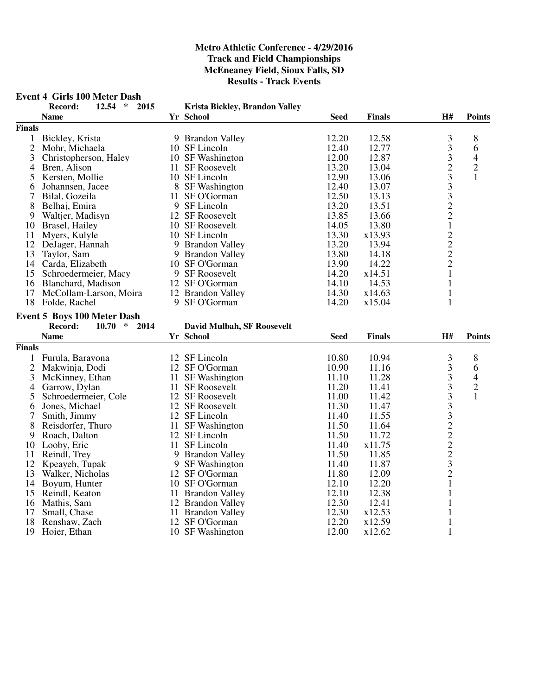#### **Event 4 Girls 100 Meter Dash**

|                | Record:<br>2015<br>12.54<br>$\ast$ |   | Krista Bickley, Brandon Valley    |             |               |                                            |                |
|----------------|------------------------------------|---|-----------------------------------|-------------|---------------|--------------------------------------------|----------------|
|                | <b>Name</b>                        |   | <b>Yr School</b>                  | <b>Seed</b> | <b>Finals</b> | H#                                         | <b>Points</b>  |
| <b>Finals</b>  |                                    |   |                                   |             |               |                                            |                |
| $\mathbf{1}$   | Bickley, Krista                    |   | 9 Brandon Valley                  | 12.20       | 12.58         | 3                                          | 8              |
| $\overline{c}$ | Mohr, Michaela                     |   | 10 SF Lincoln                     | 12.40       | 12.77         | $\overline{\mathbf{3}}$                    | 6              |
| 3              | Christopherson, Haley              |   | 10 SF Washington                  | 12.00       | 12.87         |                                            | $\overline{4}$ |
| 4              | Bren, Alison                       |   | 11 SF Roosevelt                   | 13.20       | 13.04         |                                            | $\overline{c}$ |
| 5              | Kersten, Mollie                    |   | 10 SF Lincoln                     | 12.90       | 13.06         | $\begin{array}{c} 3 \\ 2 \\ 3 \end{array}$ | $\mathbf{1}$   |
| 6              | Johannsen, Jacee                   |   | 8 SF Washington                   | 12.40       | 13.07         |                                            |                |
| 7              | Bilal, Gozeila                     |   | 11 SF O'Gorman                    | 12.50       | 13.13         | $\begin{array}{c} 3 \\ 3 \\ 2 \end{array}$ |                |
| 8              | Belhaj, Emira                      |   | 9 SF Lincoln                      | 13.20       | 13.51         |                                            |                |
| 9              | Waltjer, Madisyn                   |   | 12 SF Roosevelt                   | 13.85       | 13.66         |                                            |                |
| 10             | Brasel, Hailey                     |   | 10 SF Roosevelt                   | 14.05       | 13.80         | $\mathbf{1}$                               |                |
| 11             | Myers, Kulyle                      |   | 10 SF Lincoln                     | 13.30       | x13.93        | $\begin{array}{c} 2 \\ 2 \\ 2 \end{array}$ |                |
| 12             | DeJager, Hannah                    |   | 9 Brandon Valley                  | 13.20       | 13.94         |                                            |                |
| 13             | Taylor, Sam                        |   | 9 Brandon Valley                  | 13.80       | 14.18         |                                            |                |
| 14             | Carda, Elizabeth                   |   | 10 SF O'Gorman                    | 13.90       | 14.22         |                                            |                |
| 15             | Schroedermeier, Macy               |   | 9 SF Roosevelt                    | 14.20       | x14.51        | $\mathbf{1}$                               |                |
| 16             | Blanchard, Madison                 |   | 12 SF O'Gorman                    | 14.10       | 14.53         | $\mathbf{1}$                               |                |
| 17             | McCollam-Larson, Moira             |   | 12 Brandon Valley                 | 14.30       | x14.63        | $\mathbf{1}$                               |                |
| 18             | Folde, Rachel                      |   | 9 SF O'Gorman                     | 14.20       | x15.04        | $\mathbf{1}$                               |                |
|                | <b>Event 5 Boys 100 Meter Dash</b> |   |                                   |             |               |                                            |                |
|                | Record:<br>10.70<br>$\ast$<br>2014 |   | <b>David Mulbah, SF Roosevelt</b> |             |               |                                            |                |
|                | <b>Name</b>                        |   | Yr School                         | <b>Seed</b> | <b>Finals</b> | H#                                         | <b>Points</b>  |
| <b>Finals</b>  |                                    |   |                                   |             |               |                                            |                |
| $\mathbf{1}$   | Furula, Barayona                   |   | 12 SF Lincoln                     | 10.80       | 10.94         | 3                                          | 8              |
| $\overline{2}$ | Makwinja, Dodi                     |   | 12 SF O'Gorman                    | 10.90       | 11.16         |                                            | 6              |
| 3              | McKinney, Ethan                    |   | 11 SF Washington                  | 11.10       | 11.28         | $\frac{3}{3}$                              | $\overline{4}$ |
| 4              | Garrow, Dylan                      |   | 11 SF Roosevelt                   | 11.20       | 11.41         | $\overline{\mathbf{3}}$                    | $\overline{c}$ |
| 5              | Schroedermeier, Cole               |   | 12 SF Roosevelt                   | 11.00       | 11.42         |                                            | $\mathbf{1}$   |
| 6              | Jones, Michael                     |   | 12 SF Roosevelt                   | 11.30       | 11.47         |                                            |                |
| 7              | Smith, Jimmy                       |   | 12 SF Lincoln                     | 11.40       | 11.55         |                                            |                |
| 8              | Reisdorfer, Thuro                  |   | 11 SF Washington                  | 11.50       | 11.64         |                                            |                |
| 9              | Roach, Dalton                      |   | 12 SF Lincoln                     | 11.50       | 11.72         |                                            |                |
| 10             | Looby, Eric                        |   | 11 SF Lincoln                     | 11.40       | x11.75        | 33322223                                   |                |
| 11             | Reindl, Trey                       | 9 | <b>Brandon Valley</b>             | 11.50       | 11.85         |                                            |                |
| 12             | Kpeayeh, Tupak                     |   | 9 SF Washington                   | 11.40       | 11.87         |                                            |                |
| 13             | Walker, Nicholas                   |   | 12 SF O'Gorman                    | 11.80       | 12.09         | $\overline{2}$                             |                |
| 14             | Boyum, Hunter                      |   | 10 SF O'Gorman                    | 12.10       | 12.20         | $\mathbf{1}$                               |                |
| 15             | Reindl, Keaton                     |   | 11 Brandon Valley                 | 12.10       | 12.38         | 1                                          |                |
| 16             | Mathis, Sam                        |   | 12 Brandon Valley                 | 12.30       | 12.41         | $\mathbf{1}$                               |                |
| 17             | Small, Chase                       |   | 11 Brandon Valley                 | 12.30       | x12.53        | $\mathbf{1}$                               |                |
| 18             | Renshaw, Zach                      |   | 12 SF O'Gorman                    | 12.20       | x12.59        | 1                                          |                |
| 19             | Hoier, Ethan                       |   | 10 SF Washington                  | 12.00       | x12.62        | $\mathbf{1}$                               |                |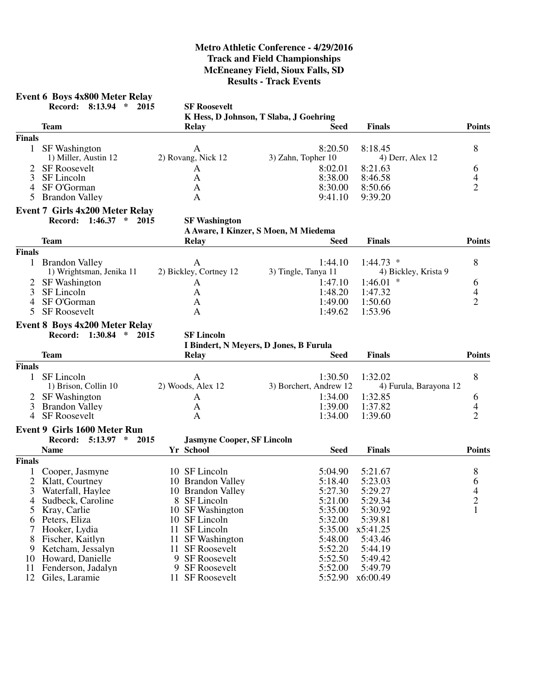# **Event 6 Boys 4x800 Meter Relay**

**Record: 8:13.94 \* 2015 SF Roosevelt**

**K Hess, D Johnson, T Slaba, J Goehring**

|                | <b>Team</b>                                                     | <b>Relay</b>                           | <b>Seed</b>                          | <b>Finals</b>          | <b>Points</b>  |
|----------------|-----------------------------------------------------------------|----------------------------------------|--------------------------------------|------------------------|----------------|
| <b>Finals</b>  |                                                                 |                                        |                                      |                        |                |
|                | 1 SF Washington                                                 | A                                      | 8:20.50                              | 8:18.45                | 8              |
|                | 1) Miller, Austin 12                                            | 2) Rovang, Nick 12                     | 3) Zahn, Topher 10                   | 4) Derr, Alex 12       |                |
|                | <b>SF Roosevelt</b>                                             | A                                      | 8:02.01                              | 8:21.63                | 6              |
| 3              | SF Lincoln                                                      | A                                      | 8:38.00                              | 8:46.58                | 4              |
| 4              | SF O'Gorman                                                     | $\mathbf{A}$                           | 8:30.00                              | 8:50.66                | $\overline{2}$ |
| 5              | <b>Brandon Valley</b>                                           | A                                      | 9:41.10                              | 9:39.20                |                |
|                | Event 7 Girls 4x200 Meter Relay                                 |                                        |                                      |                        |                |
|                | Record: 1:46.37 * 2015                                          | <b>SF Washington</b>                   |                                      |                        |                |
|                |                                                                 |                                        | A Aware, I Kinzer, S Moen, M Miedema |                        |                |
|                | <b>Team</b>                                                     | <b>Relay</b>                           | <b>Seed</b>                          | <b>Finals</b>          | <b>Points</b>  |
| <b>Finals</b>  |                                                                 |                                        |                                      |                        |                |
| $\mathbf{1}$   | <b>Brandon Valley</b>                                           | $\mathbf{A}$                           | 1:44.10                              | $1:44.73$ *            | 8              |
|                | 1) Wrightsman, Jenika 11                                        | 2) Bickley, Cortney 12                 | 3) Tingle, Tanya 11                  | 4) Bickley, Krista 9   |                |
| 2              | <b>SF</b> Washington                                            | A                                      | 1:47.10                              | $1:46.01$ *            | 6              |
| 3              | SF Lincoln                                                      | A                                      | 1:48.20                              | 1:47.32                | 4              |
| 4              | SF O'Gorman                                                     | A                                      | 1:49.00                              | 1:50.60                | $\overline{2}$ |
| 5              | <b>SF Roosevelt</b>                                             | A                                      | 1:49.62                              | 1:53.96                |                |
|                |                                                                 |                                        |                                      |                        |                |
|                | <b>Event 8 Boys 4x200 Meter Relay</b><br>Record: 1:30.84 * 2015 | <b>SF Lincoln</b>                      |                                      |                        |                |
|                |                                                                 |                                        |                                      |                        |                |
|                |                                                                 | I Bindert, N Meyers, D Jones, B Furula |                                      |                        | <b>Points</b>  |
|                | <b>Team</b>                                                     | <b>Relay</b>                           | Seed                                 | <b>Finals</b>          |                |
| Finals         |                                                                 |                                        |                                      |                        |                |
|                | 1 SF Lincoln                                                    | $\mathbf{A}$                           | 1:30.50                              | 1:32.02                | 8              |
|                | 1) Brison, Collin 10                                            | 2) Woods, Alex 12                      | 3) Borchert, Andrew 12               | 4) Furula, Barayona 12 |                |
| 2              | <b>SF</b> Washington                                            | A                                      | 1:34.00                              | 1:32.85                | 6              |
| 3              | <b>Brandon Valley</b>                                           | A                                      | 1:39.00                              | 1:37.82                | 4              |
| 4              | <b>SF Roosevelt</b>                                             | A                                      | 1:34.00                              | 1:39.60                | $\overline{2}$ |
|                | <b>Event 9 Girls 1600 Meter Run</b>                             |                                        |                                      |                        |                |
|                | Record:<br>$5:13.97$ * 2015                                     | <b>Jasmyne Cooper, SF Lincoln</b>      |                                      |                        |                |
|                | <b>Name</b>                                                     | Yr School                              | <b>Seed</b>                          | <b>Finals</b>          | <b>Points</b>  |
| <b>Finals</b>  |                                                                 |                                        |                                      |                        |                |
|                | Cooper, Jasmyne                                                 | 10 SF Lincoln                          | 5:04.90                              | 5:21.67                | 8              |
| $\overline{2}$ | Klatt, Courtney                                                 | 10 Brandon Valley                      | 5:18.40                              | 5:23.03                | 6              |
| 3              | Waterfall, Haylee                                               | 10 Brandon Valley                      | 5:27.30                              | 5:29.27                | $\frac{4}{2}$  |
| 4              | Sudbeck, Caroline                                               | 8 SF Lincoln                           | 5:21.00                              | 5:29.34                |                |
| 5              | Kray, Carlie                                                    | 10 SF Washington                       | 5:35.00                              | 5:30.92                | $\mathbf{1}$   |
| 6              | Peters, Eliza                                                   | 10 SF Lincoln                          | 5:32.00                              | 5:39.81                |                |
|                | Hooker, Lydia                                                   | SF Lincoln<br>11                       | 5:35.00                              | x5:41.25               |                |
| 8              | Fischer, Kaitlyn                                                | 11 SF Washington                       | 5:48.00                              | 5:43.46                |                |
| 9              | Ketcham, Jessalyn                                               | 11 SF Roosevelt                        | 5:52.20                              | 5:44.19                |                |
| 10             | Howard, Danielle                                                | 9 SF Roosevelt                         | 5:52.50                              | 5:49.42                |                |
| 11             | Fenderson, Jadalyn                                              | 9 SF Roosevelt                         | 5:52.00                              | 5:49.79                |                |
| 12             | Giles, Laramie                                                  | 11 SF Roosevelt                        | 5:52.90                              | x6:00.49               |                |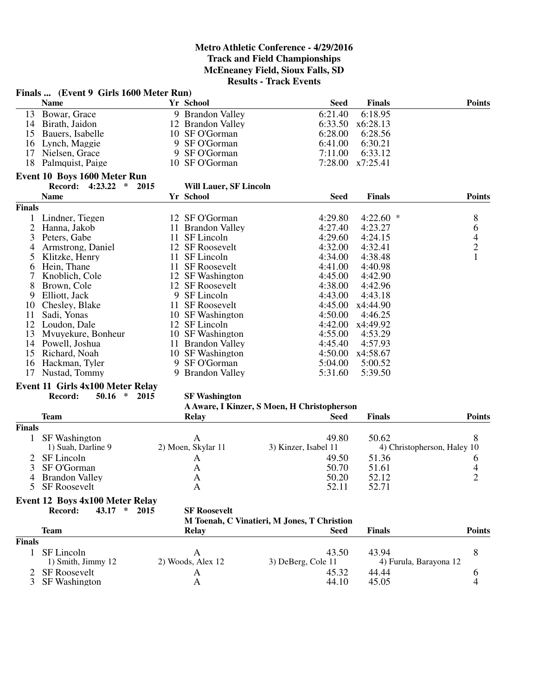|                | Finals  (Event 9 Girls 1600 Meter Run) |      |                               |                                             |               |                                            |
|----------------|----------------------------------------|------|-------------------------------|---------------------------------------------|---------------|--------------------------------------------|
|                | <b>Name</b>                            |      | Yr School                     | <b>Seed</b>                                 | <b>Finals</b> | <b>Points</b>                              |
| 13             | Bowar, Grace                           |      | 9 Brandon Valley              | 6:21.40                                     | 6:18.95       |                                            |
|                | 14 Birath, Jaidon                      |      | 12 Brandon Valley             | 6:33.50                                     | x6:28.13      |                                            |
| 15             | Bauers, Isabelle                       |      | 10 SF O'Gorman                | 6:28.00                                     | 6:28.56       |                                            |
| 16             | Lynch, Maggie                          |      | 9 SF O'Gorman                 | 6:41.00                                     | 6:30.21       |                                            |
| 17             | Nielsen, Grace                         |      | 9 SF O'Gorman                 | 7:11.00                                     | 6:33.12       |                                            |
| 18             | Palmquist, Paige                       |      | 10 SF O'Gorman                | 7:28.00                                     | x7:25.41      |                                            |
|                |                                        |      |                               |                                             |               |                                            |
|                | Event 10 Boys 1600 Meter Run           |      |                               |                                             |               |                                            |
|                | 4:23.22<br>$\ast$<br><b>Record:</b>    | 2015 | <b>Will Lauer, SF Lincoln</b> |                                             |               |                                            |
|                | <b>Name</b>                            |      | Yr School                     | <b>Seed</b>                                 | <b>Finals</b> | <b>Points</b>                              |
| <b>Finals</b>  |                                        |      |                               |                                             |               |                                            |
| 1              | Lindner, Tiegen                        |      | 12 SF O'Gorman                | 4:29.80                                     | 4:22.60       | *<br>8                                     |
| $\overline{c}$ | Hanna, Jakob                           |      | 11 Brandon Valley             | 4:27.40                                     | 4:23.27       | 6                                          |
| 3              | Peters, Gabe                           | 11   | SF Lincoln                    | 4:29.60                                     | 4:24.15       | $\begin{array}{c} 4 \\ 2 \\ 1 \end{array}$ |
| 4              | Armstrong, Daniel                      |      | 12 SF Roosevelt               | 4:32.00                                     | 4:32.41       |                                            |
| 5              | Klitzke, Henry                         | 11   | SF Lincoln                    | 4:34.00                                     | 4:38.48       |                                            |
| 6              | Hein, Thane                            | 11   | <b>SF Roosevelt</b>           | 4:41.00                                     | 4:40.98       |                                            |
| 7              | Knoblich, Cole                         |      | 12 SF Washington              | 4:45.00                                     | 4:42.90       |                                            |
| 8              | Brown, Cole                            |      | 12 SF Roosevelt               | 4:38.00                                     | 4:42.96       |                                            |
| 9              | Elliott, Jack                          |      | 9 SF Lincoln                  | 4:43.00                                     | 4:43.18       |                                            |
| 10             | Chesley, Blake                         |      | 11 SF Roosevelt               | 4:45.00                                     | x4:44.90      |                                            |
| 11             | Sadi, Yonas                            |      | 10 SF Washington              | 4:50.00                                     | 4:46.25       |                                            |
| 12             | Loudon, Dale                           |      | 12 SF Lincoln                 | 4:42.00                                     | x4:49.92      |                                            |
| 13             | Mvuyekure, Bonheur                     |      | 10 SF Washington              | 4:55.00                                     | 4:53.29       |                                            |
| 14             | Powell, Joshua                         |      | 11 Brandon Valley             | 4:45.40                                     | 4:57.93       |                                            |
| 15             | Richard, Noah                          |      | 10 SF Washington              | 4:50.00                                     | x4:58.67      |                                            |
| 16             | Hackman, Tyler                         |      | 9 SF O'Gorman                 | 5:04.00                                     | 5:00.52       |                                            |
| 17             | Nustad, Tommy                          |      | 9 Brandon Valley              | 5:31.60                                     | 5:39.50       |                                            |
|                |                                        |      |                               |                                             |               |                                            |
|                | Event 11 Girls 4x100 Meter Relay       |      |                               |                                             |               |                                            |
|                | $\ast$<br>Record:<br>50.16             | 2015 | <b>SF Washington</b>          |                                             |               |                                            |
|                |                                        |      |                               | A Aware, I Kinzer, S Moen, H Christopherson |               |                                            |
|                | <b>Team</b>                            |      | <b>Relay</b>                  | <b>Seed</b>                                 | <b>Finals</b> | <b>Points</b>                              |
| <b>Finals</b>  |                                        |      |                               |                                             |               |                                            |
| 1              | <b>SF</b> Washington                   |      | A                             | 49.80                                       | 50.62         | 8                                          |
|                | 1) Suah, Darline 9                     |      | 2) Moen, Skylar 11            | 3) Kinzer, Isabel 11                        |               | 4) Christopherson, Haley 10                |
| 2              | SF Lincoln                             |      | A                             | 49.50                                       | 51.36         | 6                                          |
| 3              | SF O'Gorman                            |      | A                             | 50.70                                       | 51.61         | 4                                          |
| 4              | <b>Brandon Valley</b>                  |      | A                             | 50.20                                       | 52.12         | $\overline{2}$                             |
| 5              | SF Roosevelt                           |      | A                             | 52.11                                       | 52.71         |                                            |
|                | <b>Event 12 Boys 4x100 Meter Relay</b> |      |                               |                                             |               |                                            |
|                | Record:<br>43.17<br>$\ast$             | 2015 | <b>SF Roosevelt</b>           |                                             |               |                                            |
|                |                                        |      |                               | M Toenah, C Vinatieri, M Jones, T Christion |               |                                            |
|                | <b>Team</b>                            |      | <b>Relay</b>                  | <b>Seed</b>                                 | <b>Finals</b> | <b>Points</b>                              |
| <b>Finals</b>  |                                        |      |                               |                                             |               |                                            |
|                | SF Lincoln                             |      | $\mathbf{A}$                  | 43.50                                       | 43.94         | 8                                          |
| $\mathbf{1}$   | 1) Smith, Jimmy 12                     |      | 2) Woods, Alex 12             | 3) DeBerg, Cole 11                          |               | 4) Furula, Barayona 12                     |
|                |                                        |      |                               |                                             |               |                                            |
|                | 2 SF Roosevelt                         |      | A                             | 45.32                                       | 44.44         | 6                                          |

2 SF Roosevelt A 45.32 44.44 6<br>3 SF Washington A 44.10 45.05 4

3 SF Washington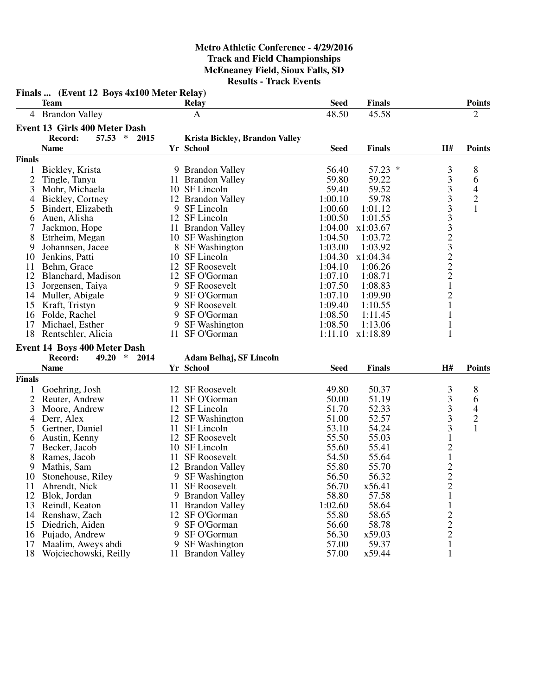|                | Finals  (Event 12 Boys 4x100 Meter Relay)<br><b>Team</b> |    | <b>Relay</b>                   | <b>Seed</b> | <b>Finals</b> |                         | <b>Points</b>            |
|----------------|----------------------------------------------------------|----|--------------------------------|-------------|---------------|-------------------------|--------------------------|
|                | 4 Brandon Valley                                         |    | $\mathbf{A}$                   | 48.50       | 45.58         |                         | $\overline{2}$           |
|                | Event 13 Girls 400 Meter Dash                            |    |                                |             |               |                         |                          |
|                | Record:<br>57.53<br>$\ast$<br>2015                       |    | Krista Bickley, Brandon Valley |             |               |                         |                          |
|                | <b>Name</b>                                              |    | Yr School                      | <b>Seed</b> | <b>Finals</b> | H#                      | <b>Points</b>            |
| <b>Finals</b>  |                                                          |    |                                |             |               |                         |                          |
| $\mathbf{1}$   | Bickley, Krista                                          |    | 9 Brandon Valley               | 56.40       | $57.23$ *     | 3                       | 8                        |
| $\overline{2}$ | Tingle, Tanya                                            |    | 11 Brandon Valley              | 59.80       | 59.22         |                         | 6                        |
| 3              | Mohr, Michaela                                           |    | 10 SF Lincoln                  | 59.40       | 59.52         |                         | $\overline{\mathcal{A}}$ |
| 4              | Bickley, Cortney                                         |    | 12 Brandon Valley              | 1:00.10     | 59.78         | 33333232221             | $\mathbf{2}$             |
| 5              | Bindert, Elizabeth                                       |    | 9 SF Lincoln                   | 1:00.60     | 1:01.12       |                         | $\mathbf{1}$             |
| 6              | Auen, Alisha                                             |    | 12 SF Lincoln                  | 1:00.50     | 1:01.55       |                         |                          |
| 7              | Jackmon, Hope                                            |    | 11 Brandon Valley              | 1:04.00     | x1:03.67      |                         |                          |
| 8              | Etrheim, Megan                                           |    | 10 SF Washington               | 1:04.50     | 1:03.72       |                         |                          |
| 9              | Johannsen, Jacee                                         |    | 8 SF Washington                | 1:03.00     | 1:03.92       |                         |                          |
| 10             | Jenkins, Patti                                           |    | 10 SF Lincoln                  | 1:04.30     | x1:04.34      |                         |                          |
| 11             | Behm, Grace                                              |    | 12 SF Roosevelt                | 1:04.10     | 1:06.26       |                         |                          |
| 12             | Blanchard, Madison                                       |    | 12 SF O'Gorman                 | 1:07.10     | 1:08.71       |                         |                          |
| 13             | Jorgensen, Taiya                                         |    | 9 SF Roosevelt                 | 1:07.50     | 1:08.83       |                         |                          |
| 14             | Muller, Abigale                                          | 9  | SF O'Gorman                    | 1:07.10     | 1:09.90       | $\overline{c}$          |                          |
| 15             | Kraft, Tristyn                                           |    | 9 SF Roosevelt                 | 1:09.40     | 1:10.55       | $\mathbf{1}$            |                          |
| 16             | Folde, Rachel                                            | 9  | SF O'Gorman                    | 1:08.50     | 1:11.45       | $\mathbf{1}$            |                          |
| 17             | Michael, Esther                                          | 9  | <b>SF Washington</b>           | 1:08.50     | 1:13.06       | $\mathbf{1}$            |                          |
|                | 18 Rentschler, Alicia                                    |    | 11 SF O'Gorman                 | 1:11.10     | x1:18.89      | 1                       |                          |
|                |                                                          |    |                                |             |               |                         |                          |
|                | <b>Event 14 Boys 400 Meter Dash</b>                      |    |                                |             |               |                         |                          |
|                | Record:<br>49.20<br>∗<br>2014                            |    | Adam Belhaj, SF Lincoln        |             |               |                         |                          |
|                | <b>Name</b>                                              |    | Yr School                      | <b>Seed</b> | <b>Finals</b> | H#                      | <b>Points</b>            |
| <b>Finals</b>  |                                                          |    |                                |             |               |                         |                          |
|                | Goehring, Josh                                           |    | 12 SF Roosevelt                | 49.80       | 50.37         | $\frac{3}{3}$           | $\,8\,$                  |
| $\mathbf{2}$   | Reuter, Andrew                                           |    | 11 SF O'Gorman                 | 50.00       | 51.19         |                         | 6                        |
| 3              | Moore, Andrew                                            |    | 12 SF Lincoln                  | 51.70       | 52.33         | 3                       | 4                        |
| 4              | Derr, Alex                                               |    | 12 SF Washington               | 51.00       | 52.57         | $\overline{\mathbf{3}}$ | $\frac{2}{1}$            |
| 5              | Gertner, Daniel                                          |    | 11 SF Lincoln                  | 53.10       | 54.24         | 3                       |                          |
| 6              | Austin, Kenny                                            |    | 12 SF Roosevelt                | 55.50       | 55.03         | $\mathbf{1}$            |                          |
| 7              | Becker, Jacob                                            |    | 10 SF Lincoln                  | 55.60       | 55.41         | $\frac{2}{1}$           |                          |
| 8              | Rames, Jacob                                             |    | 11 SF Roosevelt                | 54.50       | 55.64         |                         |                          |
| 9              | Mathis, Sam                                              |    | 12 Brandon Valley              | 55.80       | 55.70         | $\overline{c}$          |                          |
|                | 10 Stonehouse, Riley                                     |    | 9 SF Washington                | 56.50       | 56.32         | $\overline{2}$          |                          |
| 11             | Ahrendt, Nick                                            |    | 11 SF Roosevelt                | 56.70       | x56.41        | $\overline{c}$          |                          |
| 12             | Blok, Jordan                                             |    | 9 Brandon Valley               | 58.80       | 57.58         | 1                       |                          |
| 13             | Reindl, Keaton                                           |    | 11 Brandon Valley              | 1:02.60     | 58.64         | $\mathbf{1}$            |                          |
| 14             | Renshaw, Zach                                            |    | 12 SF O'Gorman                 | 55.80       | 58.65         | $\overline{c}$          |                          |
| 15             | Diedrich, Aiden                                          |    | 9 SF O'Gorman                  | 56.60       | 58.78         | $\overline{c}$          |                          |
| 16             | Pujado, Andrew                                           |    | 9 SF O'Gorman                  | 56.30       | x59.03        | $\overline{2}$          |                          |
| 17             | Maalim, Aweys abdi                                       | 9. | <b>SF</b> Washington           | 57.00       | 59.37         | $\mathbf{1}$            |                          |
| 18             | Wojciechowski, Reilly                                    |    | 11 Brandon Valley              | 57.00       | x59.44        | $\mathbf{1}$            |                          |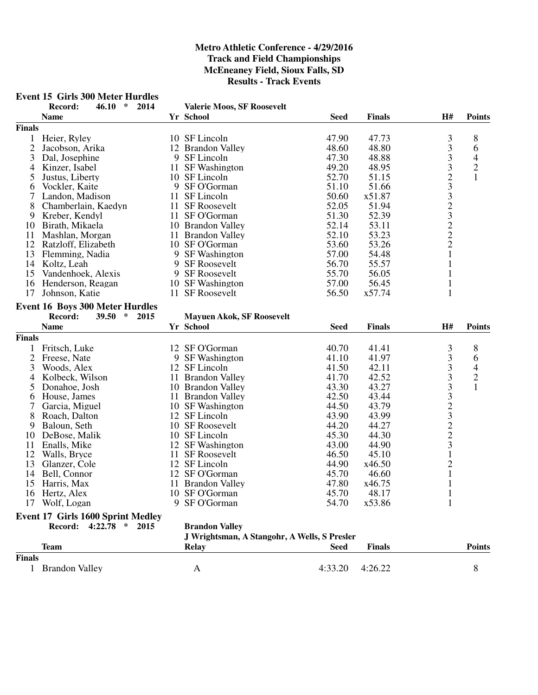# **Event 15 Girls 300 Meter Hurdles<br>Record:** 46.10  $*$  2014

**Record: 46.10 \* 2014 Valerie Moos, SF Roosevelt**

| <b>Finals</b>                                                            |                |                |
|--------------------------------------------------------------------------|----------------|----------------|
|                                                                          |                |                |
| 10 SF Lincoln<br>47.90<br>Heier, Ryley<br>47.73                          | 3              | 8              |
| $\overline{2}$<br>48.60<br>12 Brandon Valley<br>48.80<br>Jacobson, Arika | 3              | 6              |
| 3<br>9 SF Lincoln<br>47.30<br>48.88<br>Dal, Josephine                    | 3              | $\overline{4}$ |
| 11 SF Washington<br>49.20<br>48.95<br>4<br>Kinzer, Isabel                |                | $\overline{c}$ |
| 52.70<br>5<br>10 SF Lincoln<br>51.15<br>Justus, Liberty                  | 3233222        | $\mathbf{1}$   |
| 9 SF O'Gorman<br>51.10<br>51.66<br>Vockler, Kaite<br>6                   |                |                |
| 7<br>Landon, Madison<br>11 SF Lincoln<br>50.60<br>x51.87                 |                |                |
| 8<br>11 SF Roosevelt<br>52.05<br>51.94<br>Chamberlain, Kaedyn            |                |                |
| 51.30<br>52.39<br>9<br>Kreber, Kendyl<br>11 SF O'Gorman                  |                |                |
| 52.14<br>53.11<br>10                                                     |                |                |
| Birath, Mikaela<br>10 Brandon Valley                                     |                |                |
| 52.10<br>53.23<br>11<br>Mashlan, Morgan<br>11 Brandon Valley             |                |                |
| 12<br>53.60<br>53.26<br>Ratzloff, Elizabeth<br>10 SF O'Gorman            |                |                |
| 13<br>Flemming, Nadia<br>9 SF Washington<br>57.00<br>54.48               | $\mathbf{1}$   |                |
| 14<br>56.70<br>55.57<br>Koltz, Leah<br>9 SF Roosevelt                    | $\mathbf{1}$   |                |
| 55.70<br>15<br>Vandenhoek, Alexis<br>9 SF Roosevelt<br>56.05             | $\mathbf{1}$   |                |
| 57.00<br>56.45<br>16<br>10 SF Washington<br>Henderson, Reagan            | $\mathbf{1}$   |                |
| 11 SF Roosevelt<br>56.50<br>17<br>x57.74<br>Johnson, Katie               | $\mathbf{1}$   |                |
| <b>Event 16 Boys 300 Meter Hurdles</b>                                   |                |                |
| 39.50<br>$\ast$<br>Record:<br>2015<br><b>Mayuen Akok, SF Roosevelt</b>   |                |                |
| <b>Name</b><br>Yr School<br><b>Seed</b><br><b>Finals</b>                 | H#             | <b>Points</b>  |
| <b>Finals</b>                                                            |                |                |
| 40.70<br>Fritsch, Luke<br>12 SF O'Gorman<br>41.41                        | 3              | 8              |
| $\overline{2}$<br>41.10<br>9 SF Washington<br>41.97<br>Freese, Nate      | 3              | 6              |
| 3<br>12 SF Lincoln<br>41.50<br>42.11<br>Woods, Alex                      | 3              | $\overline{4}$ |
| 41.70<br>42.52<br>Kolbeck, Wilson<br>11 Brandon Valley<br>4              | 3              |                |
| 5<br>43.30<br>43.27<br>Donahoe, Josh<br>10 Brandon Valley                | $\overline{3}$ | $\frac{2}{1}$  |
| 42.50<br>House, James<br>11 Brandon Valley<br>43.44<br>6                 |                |                |
| 7<br>44.50<br>Garcia, Miguel<br>10 SF Washington<br>43.79                | 323223         |                |
|                                                                          |                |                |
| 8<br>12 SF Lincoln<br>43.90<br>43.99<br>Roach, Dalton                    |                |                |
| 44.20<br>44.27<br>9<br>Baloun, Seth<br>10 SF Roosevelt                   |                |                |
| 45.30<br>10 SF Lincoln<br>44.30<br>10<br>DeBose, Malik                   |                |                |
| 11<br>43.00<br>44.90<br>Enalls, Mike<br>12 SF Washington                 |                |                |
| 12<br>Walls, Bryce<br>11 SF Roosevelt<br>46.50<br>45.10                  | $\overline{1}$ |                |
| 12 SF Lincoln<br>44.90<br>13<br>x46.50<br>Glanzer, Cole                  | $\overline{c}$ |                |
| 45.70<br>14<br>12 SF O'Gorman<br>46.60<br>Bell, Connor                   | $\mathbf{1}$   |                |
| 47.80<br>15<br>Harris, Max<br>11 Brandon Valley<br>x46.75                | $\mathbf 1$    |                |
| 10 SF O'Gorman<br>45.70<br>48.17<br>16<br>Hertz, Alex                    | $\mathbf{1}$   |                |
| 9 SF O'Gorman<br>54.70<br>x53.86<br>17 Wolf, Logan                       |                |                |
| <b>Event 17 Girls 1600 Sprint Medley</b>                                 |                |                |
| Record: 4:22.78 * 2015<br><b>Brandon Valley</b>                          |                |                |
| J Wrightsman, A Stangohr, A Wells, S Presler                             |                |                |
| <b>Team</b><br><b>Relay</b><br><b>Seed</b><br><b>Finals</b>              |                | <b>Points</b>  |
| <b>Finals</b>                                                            |                |                |
| 1 Brandon Valley<br>4:33.20<br>4:26.22<br>A                              |                | $8\,$          |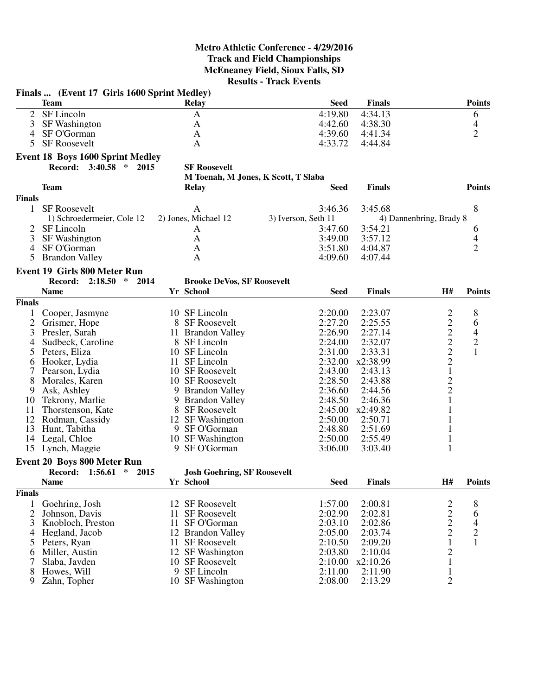|                | Finals  (Event 17 Girls 1600 Sprint Medley) |    |                                                            |                     |               |                                                   |                |
|----------------|---------------------------------------------|----|------------------------------------------------------------|---------------------|---------------|---------------------------------------------------|----------------|
|                | <b>Team</b>                                 |    | <b>Relay</b>                                               | <b>Seed</b>         | <b>Finals</b> |                                                   | <b>Points</b>  |
| $\overline{2}$ | SF Lincoln                                  |    | $\mathbf{A}$                                               | 4:19.80             | 4:34.13       |                                                   | 6              |
| 3              | <b>SF Washington</b>                        |    | A                                                          | 4:42.60             | 4:38.30       |                                                   | 4              |
| 4              | SF O'Gorman                                 |    | A                                                          | 4:39.60             | 4:41.34       |                                                   | $\overline{2}$ |
| 5              | <b>SF Roosevelt</b>                         |    | $\mathbf{A}$                                               | 4:33.72             | 4:44.84       |                                                   |                |
|                |                                             |    |                                                            |                     |               |                                                   |                |
|                | <b>Event 18 Boys 1600 Sprint Medley</b>     |    |                                                            |                     |               |                                                   |                |
|                | Record: 3:40.58 * 2015                      |    | <b>SF Roosevelt</b><br>M Toenah, M Jones, K Scott, T Slaba |                     |               |                                                   |                |
|                |                                             |    |                                                            |                     |               |                                                   |                |
|                | Team                                        |    | <b>Relay</b>                                               | <b>Seed</b>         | <b>Finals</b> |                                                   | <b>Points</b>  |
| <b>Finals</b>  |                                             |    |                                                            |                     |               |                                                   |                |
| $\mathbf{1}$   | <b>SF Roosevelt</b>                         |    | A                                                          | 3:46.36             | 3:45.68       |                                                   | 8              |
|                | 1) Schroedermeier, Cole 12                  |    | 2) Jones, Michael 12                                       | 3) Iverson, Seth 11 |               | 4) Dannenbring, Brady 8                           |                |
| 2              | SF Lincoln                                  |    | A                                                          | 3:47.60             | 3:54.21       |                                                   | 6              |
| 3              | <b>SF Washington</b>                        |    | $\mathbf{A}$                                               | 3:49.00             | 3:57.12       |                                                   | 4              |
| $\overline{4}$ | SF O'Gorman                                 |    | A                                                          | 3:51.80             | 4:04.87       |                                                   | $\overline{2}$ |
| 5              | <b>Brandon Valley</b>                       |    | $\mathbf{A}$                                               | 4:09.60             | 4:07.44       |                                                   |                |
|                | <b>Event 19 Girls 800 Meter Run</b>         |    |                                                            |                     |               |                                                   |                |
|                | 2014<br>Record: 2:18.50<br>$\ast$           |    | <b>Brooke DeVos, SF Roosevelt</b>                          |                     |               |                                                   |                |
|                | <b>Name</b>                                 |    | Yr School                                                  | <b>Seed</b>         | <b>Finals</b> | H#                                                | <b>Points</b>  |
| <b>Finals</b>  |                                             |    |                                                            |                     |               |                                                   |                |
| 1              | Cooper, Jasmyne                             |    | 10 SF Lincoln                                              | 2:20.00             | 2:23.07       |                                                   | $\,8\,$        |
| $\overline{2}$ | Grismer, Hope                               |    | 8 SF Roosevelt                                             | 2:27.20             | 2:25.55       | $\overline{\mathbf{c}}$                           | 6              |
| 3              | Presler, Sarah                              |    | 11 Brandon Valley                                          | 2:26.90             | 2:27.14       |                                                   | $\overline{4}$ |
|                | Sudbeck, Caroline                           |    | 8 SF Lincoln                                               | 2:24.00             | 2:32.07       | $\begin{array}{c}\n2 \\ 2 \\ 2 \\ 2\n\end{array}$ |                |
| 4              | Peters, Eliza                               |    | 10 SF Lincoln                                              | 2:31.00             | 2:33.31       |                                                   | $\frac{2}{1}$  |
| 5              |                                             |    | 11 SF Lincoln                                              | 2:32.00             | x2:38.99      |                                                   |                |
| 6<br>7         | Hooker, Lydia                               |    | 10 SF Roosevelt                                            | 2:43.00             | 2:43.13       | $\,1$                                             |                |
| 8              | Pearson, Lydia<br>Morales, Karen            |    | 10 SF Roosevelt                                            | 2:28.50             | 2:43.88       |                                                   |                |
| 9              | Ask, Ashley                                 |    | 9 Brandon Valley                                           | 2:36.60             | 2:44.56       | $\frac{2}{2}$                                     |                |
| 10             |                                             | 9  | <b>Brandon Valley</b>                                      | 2:48.50             | 2:46.36       | $\mathbf{1}$                                      |                |
| 11             | Tekrony, Marlie<br>Thorstenson, Kate        |    | 8 SF Roosevelt                                             | 2:45.00             | x2:49.82      | 1                                                 |                |
|                | 12 Rodman, Cassidy                          |    | 12 SF Washington                                           | 2:50.00             | 2:50.71       | $\mathbf{1}$                                      |                |
| 13             | Hunt, Tabitha                               |    | 9 SF O'Gorman                                              | 2:48.80             | 2:51.69       | 1                                                 |                |
|                | 14 Legal, Chloe                             |    | 10 SF Washington                                           | 2:50.00             | 2:55.49       | 1                                                 |                |
|                | 15 Lynch, Maggie                            |    | 9 SF O'Gorman                                              | 3:06.00             | 3:03.40       | 1                                                 |                |
|                |                                             |    |                                                            |                     |               |                                                   |                |
|                | Event 20 Boys 800 Meter Run                 |    |                                                            |                     |               |                                                   |                |
|                | Record: 1:56.61 * 2015                      |    | <b>Josh Goehring, SF Roosevelt</b>                         |                     |               |                                                   |                |
|                | <b>Name</b>                                 |    | Yr School                                                  | Seed                | <b>Finals</b> | H#                                                | <b>Points</b>  |
| <b>Finals</b>  |                                             |    |                                                            |                     |               |                                                   |                |
| 1              | Goehring, Josh                              |    | 12 SF Roosevelt                                            | 1:57.00             | 2:00.81       |                                                   | 8              |
| $\overline{2}$ | Johnson, Davis                              | 11 | <b>SF Roosevelt</b>                                        | 2:02.90             | 2:02.81       |                                                   | 6              |
| 3              | Knobloch, Preston                           | 11 | SF O'Gorman                                                | 2:03.10             | 2:02.86       | $\begin{array}{c} 2 \\ 2 \\ 2 \end{array}$        | 4              |
| 4              | Hegland, Jacob                              |    | 12 Brandon Valley                                          | 2:05.00             | 2:03.74       |                                                   | $\overline{c}$ |
| 5              | Peters, Ryan                                |    | 11 SF Roosevelt                                            | 2:10.50             | 2:09.20       | $\mathbf{1}$                                      | $\mathbf{1}$   |
| 6              | Miller, Austin                              |    | 12 SF Washington                                           | 2:03.80             | 2:10.04       |                                                   |                |
| 7              | Slaba, Jayden                               |    | 10 SF Roosevelt                                            | 2:10.00             | x2:10.26      | $\begin{smallmatrix} 2\\1 \end{smallmatrix}$      |                |
| 8              | Howes, Will                                 |    | 9 SF Lincoln                                               | 2:11.00             | 2:11.90       | $\mathbf{1}$                                      |                |
| 9              | Zahn, Topher                                |    | 10 SF Washington                                           | 2:08.00             | 2:13.29       | $\overline{2}$                                    |                |
|                |                                             |    |                                                            |                     |               |                                                   |                |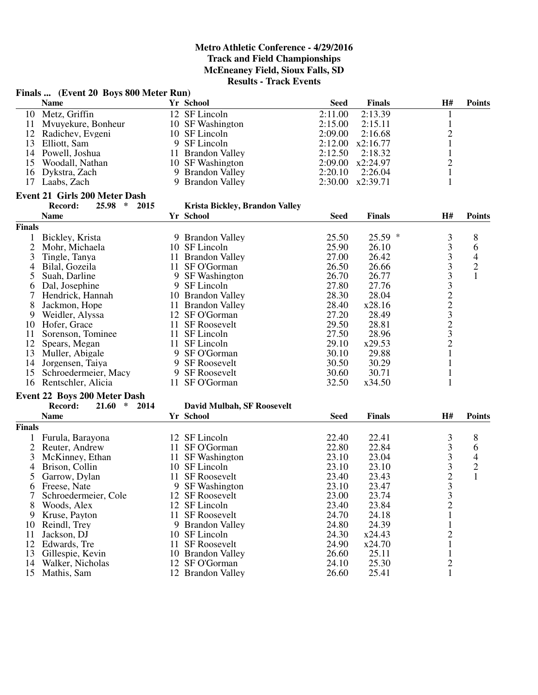|                | Finals  (Event 20 Boys 800 Meter Run) |    |                                      |             |               |                |                          |
|----------------|---------------------------------------|----|--------------------------------------|-------------|---------------|----------------|--------------------------|
|                | <b>Name</b>                           |    | Yr School                            | <b>Seed</b> | <b>Finals</b> | H#             | <b>Points</b>            |
| 10             | Metz, Griffin                         |    | 12 SF Lincoln                        | 2:11.00     | 2:13.39       | $\mathbf{1}$   |                          |
| 11             | Mvuyekure, Bonheur                    |    | 10 SF Washington                     | 2:15.00     | 2:15.11       | $\mathbf{1}$   |                          |
|                | 12 Radichev, Evgeni                   |    | 10 SF Lincoln                        | 2:09.00     | 2:16.68       | $\overline{c}$ |                          |
| 13             | Elliott, Sam                          |    | 9 SF Lincoln                         | 2:12.00     | x2:16.77      | $\mathbf{1}$   |                          |
| 14             | Powell, Joshua                        |    | 11 Brandon Valley                    | 2:12.50     | 2:18.32       | $\mathbf{1}$   |                          |
| 15             | Woodall, Nathan                       |    | 10 SF Washington                     | 2:09.00     | x2:24.97      | $\overline{c}$ |                          |
| 16             | Dykstra, Zach                         |    | 9 Brandon Valley                     | 2:20.10     | 2:26.04       | $\mathbf{1}$   |                          |
|                | 17 Laabs, Zach                        |    | 9 Brandon Valley                     | 2:30.00     | x2:39.71      | $\mathbf{1}$   |                          |
|                | <b>Event 21 Girls 200 Meter Dash</b>  |    |                                      |             |               |                |                          |
|                | $\ast$<br>Record:<br>25.98<br>2015    |    | Krista Bickley, Brandon Valley       |             |               |                |                          |
|                | <b>Name</b>                           |    | Yr School                            | <b>Seed</b> | <b>Finals</b> | H#             | <b>Points</b>            |
| Finals         |                                       |    |                                      |             |               |                |                          |
| 1              | Bickley, Krista                       |    | 9 Brandon Valley                     | 25.50       | 25.59 *       | 3              | 8                        |
| $\overline{2}$ | Mohr, Michaela                        |    | 10 SF Lincoln                        | 25.90       | 26.10         | 3              | 6                        |
| 3              | Tingle, Tanya                         |    | 11 Brandon Valley                    | 27.00       | 26.42         | 3              | $\overline{\mathcal{A}}$ |
| $\overline{4}$ | Bilal, Gozeila                        | 11 | SF O'Gorman                          | 26.50       | 26.66         |                | $\overline{c}$           |
| 5              | Suah, Darline                         |    | 9 SF Washington                      | 26.70       | 26.77         |                | 1                        |
| 6              | Dal, Josephine                        |    | 9 SF Lincoln                         | 27.80       | 27.76         |                |                          |
| 7              | Hendrick, Hannah                      |    |                                      | 28.30       | 28.04         |                |                          |
| 8              |                                       |    | 10 Brandon Valley                    | 28.40       | x28.16        |                |                          |
|                | Jackmon, Hope                         |    | 11 Brandon Valley                    | 27.20       | 28.49         | 333223232      |                          |
| 9              | Weidler, Alyssa                       |    | 12 SF O'Gorman                       |             |               |                |                          |
| 10             | Hofer, Grace                          | 11 | <b>SF Roosevelt</b><br>11 SF Lincoln | 29.50       | 28.81         |                |                          |
| 11             | Sorenson, Tominee                     |    |                                      | 27.50       | 28.96         |                |                          |
| 12             | Spears, Megan                         |    | 11 SF Lincoln                        | 29.10       | x29.53        |                |                          |
| 13             | Muller, Abigale                       |    | 9 SF O'Gorman                        | 30.10       | 29.88         | $\mathbf{1}$   |                          |
| 14             | Jorgensen, Taiya                      |    | 9 SF Roosevelt                       | 30.50       | 30.29         | $\mathbf{1}$   |                          |
| 15             | Schroedermeier, Macy                  |    | 9 SF Roosevelt                       | 30.60       | 30.71         | $\mathbf{1}$   |                          |
| 16             | Rentschler, Alicia                    |    | 11 SF O'Gorman                       | 32.50       | x34.50        | $\mathbf{1}$   |                          |
|                | <b>Event 22 Boys 200 Meter Dash</b>   |    |                                      |             |               |                |                          |
|                | Record:<br>21.60<br>∗<br>2014         |    | <b>David Mulbah, SF Roosevelt</b>    |             |               |                |                          |
|                | <b>Name</b>                           |    | Yr School                            | <b>Seed</b> | <b>Finals</b> | H#             | <b>Points</b>            |
| Finals         |                                       |    |                                      |             |               |                |                          |
|                | Furula, Barayona                      |    | 12 SF Lincoln                        | 22.40       | 22.41         | 3              | 8                        |
| $\overline{2}$ | Reuter, Andrew                        | 11 | SF O'Gorman                          | 22.80       | 22.84         | 3              | 6                        |
| 3              | McKinney, Ethan                       |    | 11 SF Washington                     | 23.10       | 23.04         | 3              | 4                        |
| $\overline{4}$ | Brison, Collin                        |    | 10 SF Lincoln                        | 23.10       | 23.10         | 3              | $\overline{c}$           |
| 5              | Garrow, Dylan                         |    | 11 SF Roosevelt                      | 23.40       | 23.43         | $\overline{2}$ | $\mathbf{1}$             |
| O              | Freese, Nate                          |    | 9 SF Washington                      | 23.10       | 23.47         | 3              |                          |
|                | Schroedermeier, Cole                  |    | 12 SF Roosevelt                      | 23.00       | 23.74         | $\frac{3}{2}$  |                          |
| 8              | Woods, Alex                           |    | 12 SF Lincoln                        | 23.40       | 23.84         |                |                          |
| 9              | Kruse, Payton                         | 11 | <b>SF Roosevelt</b>                  | 24.70       | 24.18         | $\mathbf{1}$   |                          |
| 10             | Reindl, Trey                          |    | 9 Brandon Valley                     | 24.80       | 24.39         | $\mathbf{1}$   |                          |
| 11             | Jackson, DJ                           |    | 10 SF Lincoln                        | 24.30       | x24.43        | $\overline{c}$ |                          |
| 12             | Edwards, Tre                          | 11 | SF Roosevelt                         | 24.90       | x24.70        | 1              |                          |
| 13             | Gillespie, Kevin                      |    | 10 Brandon Valley                    | 26.60       | 25.11         | $\mathbf{1}$   |                          |
| 14             | Walker, Nicholas                      |    | 12 SF O'Gorman                       | 24.10       | 25.30         | $\overline{c}$ |                          |
| 15             | Mathis, Sam                           |    | 12 Brandon Valley                    | 26.60       | 25.41         | $\mathbf{1}$   |                          |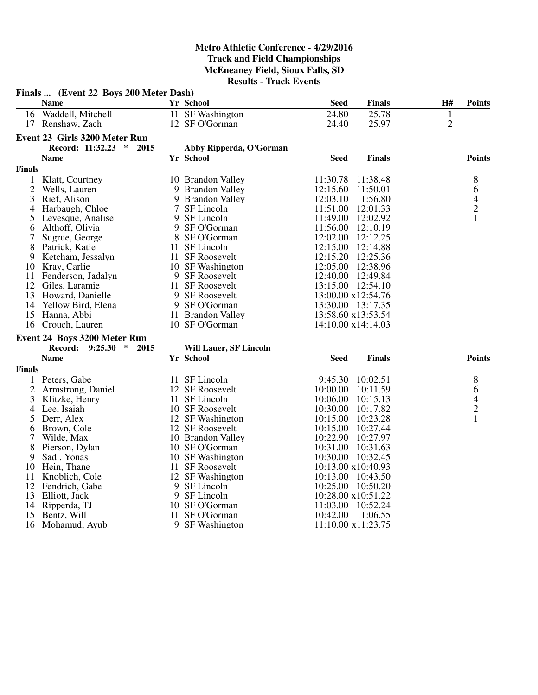|                | Finals  (Event 22 Boys 200 Meter Dash) |                               |             |                    |                |                                            |
|----------------|----------------------------------------|-------------------------------|-------------|--------------------|----------------|--------------------------------------------|
|                | <b>Name</b>                            | Yr School                     | Seed        | <b>Finals</b>      | H#             | <b>Points</b>                              |
|                | 16 Waddell, Mitchell                   | 11 SF Washington              | 24.80       | 25.78              | $\mathbf{1}$   |                                            |
|                | 17 Renshaw, Zach                       | 12 SF O'Gorman                | 24.40       | 25.97              | $\overline{2}$ |                                            |
|                | Event 23 Girls 3200 Meter Run          |                               |             |                    |                |                                            |
|                | Record: 11:32.23 *<br>2015             | Abby Ripperda, O'Gorman       |             |                    |                |                                            |
|                | <b>Name</b>                            | Yr School                     | <b>Seed</b> | <b>Finals</b>      |                | <b>Points</b>                              |
| <b>Finals</b>  |                                        |                               |             |                    |                |                                            |
| $\mathbf{1}$   | Klatt, Courtney                        | 10 Brandon Valley             | 11:30.78    | 11:38.48           |                | 8                                          |
| $\overline{2}$ | Wells, Lauren                          | 9 Brandon Valley              | 12:15.60    | 11:50.01           |                | 6                                          |
| $\overline{3}$ | Rief, Alison                           | 9 Brandon Valley              | 12:03.10    | 11:56.80           |                |                                            |
| 4              | Harbaugh, Chloe                        | 7 SF Lincoln                  | 11:51.00    | 12:01.33           |                | $\begin{array}{c} 4 \\ 2 \\ 1 \end{array}$ |
| 5              | Levesque, Analise                      | 9 SF Lincoln                  | 11:49.00    | 12:02.92           |                |                                            |
| 6              | Althoff, Olivia                        | 9 SF O'Gorman                 | 11:56.00    | 12:10.19           |                |                                            |
| 7              | Sugrue, George                         | 8 SF O'Gorman                 | 12:02.00    | 12:12.25           |                |                                            |
| 8              | Patrick, Katie                         | 11 SF Lincoln                 | 12:15.00    | 12:14.88           |                |                                            |
| 9              | Ketcham, Jessalyn                      | 11 SF Roosevelt               | 12:15.20    | 12:25.36           |                |                                            |
| 10             | Kray, Carlie                           | 10 SF Washington              | 12:05.00    | 12:38.96           |                |                                            |
| 11             | Fenderson, Jadalyn                     | 9 SF Roosevelt                | 12:40.00    | 12:49.84           |                |                                            |
| 12             | Giles, Laramie                         | 11 SF Roosevelt               | 13:15.00    | 12:54.10           |                |                                            |
|                | 13 Howard, Danielle                    | 9 SF Roosevelt                |             | 13:00.00 x12:54.76 |                |                                            |
| 14             | Yellow Bird, Elena                     | 9 SF O'Gorman                 |             | 13:30.00 13:17.35  |                |                                            |
|                | 15 Hanna, Abbi                         | 11 Brandon Valley             |             | 13:58.60 x13:53.54 |                |                                            |
|                | 16 Crouch, Lauren                      | 10 SF O'Gorman                |             | 14:10.00 x14:14.03 |                |                                            |
|                | Event 24 Boys 3200 Meter Run           |                               |             |                    |                |                                            |
|                | Record:<br>$9:25.30 * 2015$            | <b>Will Lauer, SF Lincoln</b> |             |                    |                |                                            |
|                | <b>Name</b>                            | Yr School                     | <b>Seed</b> | <b>Finals</b>      |                | <b>Points</b>                              |
| <b>Finals</b>  |                                        |                               |             |                    |                |                                            |
|                | 1 Peters, Gabe                         | 11 SF Lincoln                 | 9:45.30     | 10:02.51           |                | 8                                          |
| $\overline{2}$ | Armstrong, Daniel                      | 12 SF Roosevelt               | 10:00.00    | 10:11.59           |                | 6                                          |
| 3              | Klitzke, Henry                         | 11 SF Lincoln                 | 10:06.00    | 10:15.13           |                | $\overline{4}$                             |
| 4              | Lee, Isaiah                            | 10 SF Roosevelt               | 10:30.00    | 10:17.82           |                | $\overline{c}$                             |
| 5              | Derr, Alex                             | 12 SF Washington              | 10:15.00    | 10:23.28           |                | $\mathbf{1}$                               |
| 6              | Brown, Cole                            | 12 SF Roosevelt               | 10:15.00    | 10:27.44           |                |                                            |
| 7              | Wilde, Max                             | 10 Brandon Valley             | 10:22.90    | 10:27.97           |                |                                            |
| 8              | Pierson, Dylan                         | 10 SF O'Gorman                | 10:31.00    | 10:31.63           |                |                                            |
| 9              | Sadi, Yonas                            | 10 SF Washington              | 10:30.00    | 10:32.45           |                |                                            |
| 10             | Hein, Thane                            | 11 SF Roosevelt               |             | 10:13.00 x10:40.93 |                |                                            |
|                | 11 Knoblich, Cole                      | 12 SF Washington              | 10:13.00    | 10:43.50           |                |                                            |
| 12             | Fendrich, Gabe                         | 9 SF Lincoln                  |             | 10:25.00 10:50.20  |                |                                            |
| 13             | Elliott, Jack                          | 9 SF Lincoln                  |             | 10:28.00 x10:51.22 |                |                                            |
| 14             | Ripperda, TJ                           | 10 SF O'Gorman                | 11:03.00    | 10:52.24           |                |                                            |
| 15             | Bentz, Will                            | 11 SF O'Gorman                | 10:42.00    | 11:06.55           |                |                                            |
| 16             | Mohamud, Ayub                          | 9 SF Washington               |             | 11:10.00 x11:23.75 |                |                                            |
|                |                                        |                               |             |                    |                |                                            |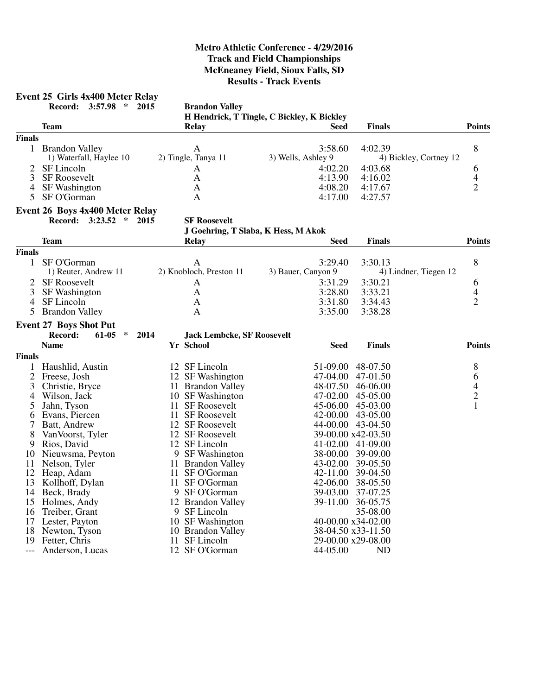# **Event 25 Girls 4x400 Meter Relay**

**Record: 3:57.98 \* 2015 Brandon Valley**

**H Hendrick, T Tingle, C Bickley, K Bickley**

|                |                                 |                                           | п певиску т тшеге, с окмеу, в окмеу |                    |                        |
|----------------|---------------------------------|-------------------------------------------|-------------------------------------|--------------------|------------------------|
|                | Team                            | Relay                                     | <b>Seed</b>                         | <b>Finals</b>      | <b>Points</b>          |
| <b>Finals</b>  |                                 |                                           |                                     |                    |                        |
|                | 1 Brandon Valley                | $\mathbf{A}$                              | 3:58.60                             | 4:02.39            | 8                      |
|                | 1) Waterfall, Haylee 10         | 2) Tingle, Tanya 11                       | 3) Wells, Ashley 9                  |                    | 4) Bickley, Cortney 12 |
| $\overline{2}$ | SF Lincoln                      | A                                         | 4:02.20                             | 4:03.68            | 6                      |
| 3              | <b>SF Roosevelt</b>             | A                                         | 4:13.90                             | 4:16.02            | 4                      |
| $\overline{4}$ | <b>SF</b> Washington            | $\mathbf{A}$                              | 4:08.20                             | 4:17.67            | $\overline{2}$         |
| 5              | SF O'Gorman                     | $\mathbf{A}$                              | 4:17.00                             | 4:27.57            |                        |
|                | Event 26 Boys 4x400 Meter Relay |                                           |                                     |                    |                        |
|                | Record: 3:23.52 * 2015          | <b>SF Roosevelt</b>                       |                                     |                    |                        |
|                |                                 |                                           | J Goehring, T Slaba, K Hess, M Akok |                    |                        |
|                | <b>Team</b>                     | Relay                                     | <b>Seed</b>                         | <b>Finals</b>      | <b>Points</b>          |
| <b>Finals</b>  |                                 |                                           |                                     |                    |                        |
| $\mathbf{1}$   | SF O'Gorman                     | A                                         | 3:29.40                             | 3:30.13            | $8\,$                  |
|                | 1) Reuter, Andrew 11            | 2) Knobloch, Preston 11                   | 3) Bauer, Canyon 9                  |                    | 4) Lindner, Tiegen 12  |
| 2              | <b>SF Roosevelt</b>             | $\mathbf{A}$                              | 3:31.29                             | 3:30.21            | 6                      |
| 3              | <b>SF</b> Washington            | $\mathbf{A}$                              | 3:28.80                             | 3:33.21            | 4                      |
| $\overline{4}$ | SF Lincoln                      |                                           |                                     |                    | $\overline{2}$         |
|                |                                 | $\mathbf{A}$                              | 3:31.80                             | 3:34.43            |                        |
| 5              | <b>Brandon Valley</b>           | $\mathbf{A}$                              | 3:35.00                             | 3:38.28            |                        |
|                | <b>Event 27 Boys Shot Put</b>   |                                           |                                     |                    |                        |
|                | Record:<br>61-05<br>$\ast$      | 2014<br><b>Jack Lembcke, SF Roosevelt</b> |                                     |                    |                        |
|                | <b>Name</b>                     | Yr School                                 | <b>Seed</b>                         | <b>Finals</b>      | <b>Points</b>          |
| <b>Finals</b>  |                                 |                                           |                                     |                    |                        |
| 1              | Haushlid, Austin                | 12 SF Lincoln                             |                                     | 51-09.00 48-07.50  | 8                      |
| $\overline{c}$ | Freese, Josh                    | 12 SF Washington                          |                                     | 47-04.00 47-01.50  | 6                      |
| 3              | Christie, Bryce                 | 11 Brandon Valley                         |                                     | 48-07.50 46-06.00  |                        |
| $\overline{4}$ | Wilson, Jack                    | 10 SF Washington                          |                                     | 47-02.00 45-05.00  | $\frac{4}{2}$          |
| 5              | Jahn, Tyson                     | 11 SF Roosevelt                           |                                     | 45-06.00 45-03.00  | $\mathbf{1}$           |
| 6              | Evans, Piercen                  | 11 SF Roosevelt                           |                                     | 42-00.00 43-05.00  |                        |
|                | 7 Batt, Andrew                  | 12 SF Roosevelt                           |                                     | 44-00.00 43-04.50  |                        |
| 8              | Van Voorst, Tyler               | 12 SF Roosevelt                           |                                     | 39-00.00 x42-03.50 |                        |
| 9              | Rios, David                     | 12 SF Lincoln                             |                                     | 41-02.00 41-09.00  |                        |
| 10             | Nieuwsma, Peyton                | 9 SF Washington                           |                                     | 38-00.00 39-09.00  |                        |
| 11             | Nelson, Tyler                   | 11 Brandon Valley                         |                                     | 43-02.00 39-05.50  |                        |
| 12             | Heap, Adam                      | 11 SF O'Gorman                            |                                     | 42-11.00 39-04.50  |                        |
| 13             | Kollhoff, Dylan                 | 11 SF O'Gorman                            |                                     | 42-06.00 38-05.50  |                        |
|                |                                 |                                           |                                     |                    |                        |
| 14             | Beck, Brady                     | 9 SF O'Gorman                             | 39-03.00                            | 37-07.25           |                        |
|                | 15 Holmes, Andy                 | 12 Brandon Valley                         |                                     | 39-11.00 36-05.75  |                        |
| 16             | Treiber, Grant                  | 9 SF Lincoln                              |                                     | 35-08.00           |                        |
| 17             | Lester, Payton                  | 10 SF Washington                          |                                     | 40-00.00 x34-02.00 |                        |
| 18             | Newton, Tyson                   | 10 Brandon Valley                         |                                     | 38-04.50 x33-11.50 |                        |
|                | 19 Fetter, Chris                | 11 SF Lincoln                             |                                     | 29-00.00 x29-08.00 |                        |
| $---$          | Anderson, Lucas                 | 12 SF O'Gorman                            | 44-05.00                            | ND                 |                        |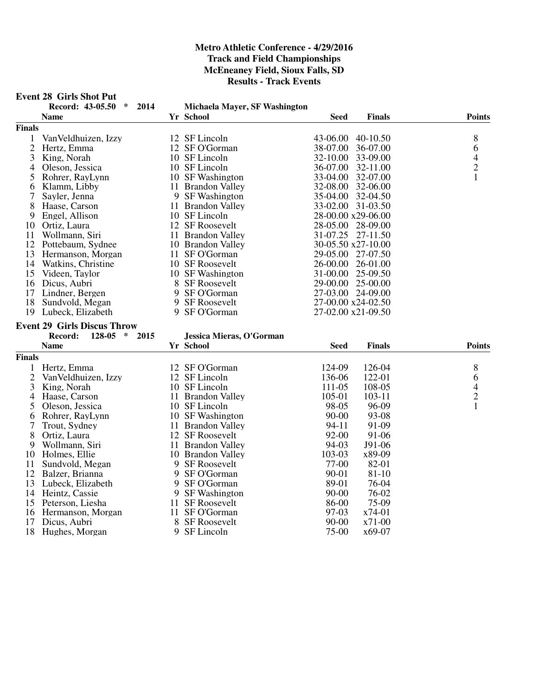|                | <b>Event 28 Girls Shot Put</b>      |    |                               |                   |                    |                |
|----------------|-------------------------------------|----|-------------------------------|-------------------|--------------------|----------------|
|                | Record: 43-05.50<br>$\ast$<br>2014  |    | Michaela Mayer, SF Washington |                   |                    |                |
|                | <b>Name</b>                         |    | Yr School                     | Seed              | <b>Finals</b>      | <b>Points</b>  |
| Finals         |                                     |    |                               |                   |                    |                |
| 1              | Van Veldhuizen, Izzy                |    | 12 SF Lincoln                 | 43-06.00          | 40-10.50           | 8              |
| $\overline{2}$ | Hertz, Emma                         |    | 12 SF O'Gorman                | 38-07.00          | 36-07.00           | 6              |
| 3              | King, Norah                         |    | 10 SF Lincoln                 | 32-10.00          | 33-09.00           | 4              |
| 4              | Oleson, Jessica                     |    | 10 SF Lincoln                 | 36-07.00          | 32-11.00           | $\overline{c}$ |
| 5              | Rohrer, RayLynn                     |    | 10 SF Washington              | 33-04.00          | 32-07.00           | 1              |
| 6              | Klamm, Libby                        |    | 11 Brandon Valley             | 32-08.00          | 32-06.00           |                |
| 7              | Sayler, Jenna                       |    | 9 SF Washington               | 35-04.00          | 32-04.50           |                |
| 8              | Haase, Carson                       |    | 11 Brandon Valley             |                   | 33-02.00 31-03.50  |                |
| 9              | Engel, Allison                      |    | 10 SF Lincoln                 |                   | 28-00.00 x29-06.00 |                |
| 10             | Ortiz, Laura                        |    | 12 SF Roosevelt               |                   | 28-05.00 28-09.00  |                |
| 11             | Wollmann, Siri                      |    | 11 Brandon Valley             |                   | 31-07.25 27-11.50  |                |
| 12             | Pottebaum, Sydnee                   |    | 10 Brandon Valley             |                   | 30-05.50 x27-10.00 |                |
| 13             | Hermanson, Morgan                   |    | 11 SF O'Gorman                |                   | 29-05.00 27-07.50  |                |
| 14             | Watkins, Christine                  |    | 10 SF Roosevelt               | 26-00.00          | 26-01.00           |                |
| 15             | Videen, Taylor                      |    | 10 SF Washington              |                   | 31-00.00 25-09.50  |                |
| 16             | Dicus, Aubri                        |    | 8 SF Roosevelt                | 29-00.00 25-00.00 |                    |                |
| 17             | Lindner, Bergen                     | 9  | SF O'Gorman                   |                   | 27-03.00 24-09.00  |                |
| 18             | Sundvold, Megan                     |    | 9 SF Roosevelt                |                   | 27-00.00 x24-02.50 |                |
| 19             | Lubeck, Elizabeth                   |    | 9 SF O'Gorman                 |                   | 27-02.00 x21-09.50 |                |
|                | <b>Event 29 Girls Discus Throw</b>  |    |                               |                   |                    |                |
|                | 128-05<br>Record:<br>$\ast$<br>2015 |    | Jessica Mieras, O'Gorman      |                   |                    |                |
|                | <b>Name</b>                         |    | Yr School                     | <b>Seed</b>       | <b>Finals</b>      | <b>Points</b>  |
| Finals         |                                     |    |                               |                   |                    |                |
|                |                                     |    |                               |                   |                    |                |
| $\mathbf{1}$   | Hertz, Emma                         |    | 12 SF O'Gorman                | 124-09            | 126-04             | 8              |
| $\overline{2}$ | Van Veldhuizen, Izzy                |    | 12 SF Lincoln                 | 136-06            | 122-01             | 6              |
| 3              | King, Norah                         |    | 10 SF Lincoln                 | 111-05            | 108-05             | $\frac{4}{2}$  |
| 4              | Haase, Carson                       |    | 11 Brandon Valley             | 105-01<br>98-05   | 103-11             | $\mathbf{1}$   |
| 5              | Oleson, Jessica                     |    | 10 SF Lincoln                 |                   | 96-09              |                |
| 6              | Rohrer, RayLynn                     |    | 10 SF Washington              | $90 - 00$         | 93-08              |                |
| 7              | Trout, Sydney                       |    | 11 Brandon Valley             | 94-11             | 91-09              |                |
| 8              | Ortiz, Laura                        |    | 12 SF Roosevelt               | 92-00             | 91-06              |                |
| 9              | Wollmann, Siri                      |    | 11 Brandon Valley             | 94-03             | J91-06             |                |
| 10             | Holmes, Ellie                       |    | 10 Brandon Valley             | 103-03            | x89-09             |                |
| 11             | Sundvold, Megan                     |    | 9 SF Roosevelt                | 77-00             | 82-01              |                |
| 12             | Balzer, Brianna                     |    | 9 SF O'Gorman                 | 90-01             | 81-10              |                |
| 13             | Lubeck, Elizabeth                   | 9  | SF O'Gorman                   | 89-01             | 76-04              |                |
| 14             | Heintz, Cassie                      |    | 9 SF Washington               | $90 - 00$         | 76-02              |                |
| 15             | Peterson, Liesha                    | 11 | <b>SF Roosevelt</b>           | 86-00             | 75-09              |                |
| 16             | Hermanson, Morgan                   | 11 | SF O'Gorman                   | 97-03             | x74-01             |                |
| 17             | Dicus, Aubri                        | 8  | <b>SF Roosevelt</b>           | $90 - 00$         | $x71-00$           |                |
| 18             | Hughes, Morgan                      | 9  | SF Lincoln                    | 75-00             | x69-07             |                |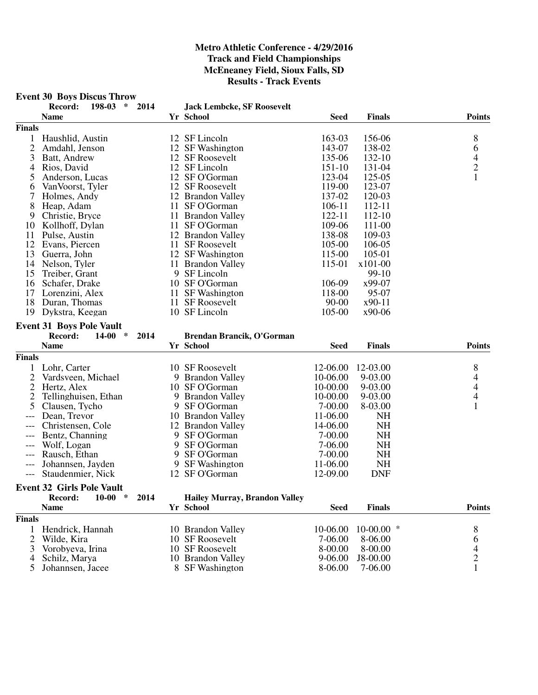#### **Event 30 Boys Discus Throw**

| Record: | $198-03$ * 2014 |  |                                   |
|---------|-----------------|--|-----------------------------------|
|         |                 |  | <b>Jack Lembcke, SF Roosevelt</b> |

|                | <b>Name</b>                      |      | Yr School                            | <b>Seed</b> | <b>Finals</b> | <b>Points</b>  |
|----------------|----------------------------------|------|--------------------------------------|-------------|---------------|----------------|
| <b>Finals</b>  |                                  |      |                                      |             |               |                |
| 1              | Haushlid, Austin                 |      | 12 SF Lincoln                        | 163-03      | 156-06        | 8              |
| $\overline{c}$ | Amdahl, Jenson                   |      | 12 SF Washington                     | 143-07      | 138-02        | 6              |
| 3              | Batt, Andrew                     |      | 12 SF Roosevelt                      | 135-06      | 132-10        | $\frac{4}{2}$  |
| 4              | Rios, David                      |      | 12 SF Lincoln                        | 151-10      | 131-04        |                |
| 5              | Anderson, Lucas                  |      | 12 SF O'Gorman                       | 123-04      | 125-05        | $\mathbf{1}$   |
| 6              | Van Voorst, Tyler                |      | 12 SF Roosevelt                      | 119-00      | 123-07        |                |
| 7              | Holmes, Andy                     |      | 12 Brandon Valley                    | 137-02      | 120-03        |                |
| 8              | Heap, Adam                       |      | 11 SF O'Gorman                       | 106-11      | 112-11        |                |
| 9              | Christie, Bryce                  |      | 11 Brandon Valley                    | 122-11      | 112-10        |                |
| 10             | Kollhoff, Dylan                  |      | 11 SF O'Gorman                       | 109-06      | 111-00        |                |
| 11             | Pulse, Austin                    |      | 12 Brandon Valley                    | 138-08      | 109-03        |                |
| 12             | Evans, Piercen                   |      | 11 SF Roosevelt                      | 105-00      | 106-05        |                |
| 13             | Guerra, John                     |      | 12 SF Washington                     | 115-00      | 105-01        |                |
| 14             | Nelson, Tyler                    |      | 11 Brandon Valley                    | 115-01      | x101-00       |                |
| 15             | Treiber, Grant                   |      | 9 SF Lincoln                         |             | 99-10         |                |
| 16             | Schafer, Drake                   |      | 10 SF O'Gorman                       | 106-09      | x99-07        |                |
| 17             | Lorenzini, Alex                  |      | 11 SF Washington                     | 118-00      | 95-07         |                |
| 18             | Duran, Thomas                    |      | 11 SF Roosevelt                      | $90 - 00$   | $x90-11$      |                |
| 19             | Dykstra, Keegan                  |      | 10 SF Lincoln                        | 105-00      | x90-06        |                |
|                | <b>Event 31 Boys Pole Vault</b>  |      |                                      |             |               |                |
|                | Record:<br>$14-00$ *             | 2014 | Brendan Brancik, O'Gorman            |             |               |                |
|                | <b>Name</b>                      |      | Yr School                            | <b>Seed</b> | <b>Finals</b> | <b>Points</b>  |
| <b>Finals</b>  |                                  |      |                                      |             |               |                |
| 1              | Lohr, Carter                     |      | 10 SF Roosevelt                      | 12-06.00    | 12-03.00      | 8              |
| 2              | Vardsveen, Michael               |      | 9 Brandon Valley                     | 10-06.00    | 9-03.00       | $\overline{4}$ |
| $\overline{2}$ | Hertz, Alex                      |      | 10 SF O'Gorman                       | 10-00.00    | 9-03.00       | $\overline{4}$ |
| 2              | Tellinghuisen, Ethan             |      | 9 Brandon Valley                     | 10-00.00    | 9-03.00       | $\overline{4}$ |
| 5              | Clausen, Tycho                   |      | 9 SF O'Gorman                        | 7-00.00     | 8-03.00       | 1              |
|                | Dean, Trevor                     |      | 10 Brandon Valley                    | 11-06.00    | <b>NH</b>     |                |
|                | Christensen, Cole                |      | 12 Brandon Valley                    | 14-06.00    | <b>NH</b>     |                |
| ---            | Bentz, Channing                  | 9    | SF O'Gorman                          | 7-00.00     | <b>NH</b>     |                |
| ---            | Wolf, Logan                      | 9    | SF O'Gorman                          | 7-06.00     | <b>NH</b>     |                |
| ---            | Rausch, Ethan                    | 9    | SF O'Gorman                          | 7-00.00     | <b>NH</b>     |                |
|                | Johannsen, Jayden                | 9    | <b>SF</b> Washington                 | 11-06.00    | <b>NH</b>     |                |
|                | Staudenmier, Nick                |      | 12 SF O'Gorman                       | 12-09.00    | <b>DNF</b>    |                |
|                | <b>Event 32 Girls Pole Vault</b> |      |                                      |             |               |                |
|                | Record:<br>$10-00$<br>$\ast$     | 2014 | <b>Hailey Murray, Brandon Valley</b> |             |               |                |
|                | <b>Name</b>                      |      | Yr School                            | <b>Seed</b> | <b>Finals</b> | <b>Points</b>  |
| <b>Finals</b>  |                                  |      |                                      |             |               |                |
| 1              | Hendrick, Hannah                 |      | 10 Brandon Valley                    | 10-06.00    | $10-00.00$ *  | 8              |
| $\overline{2}$ | Wilde, Kira                      |      | 10 SF Roosevelt                      | 7-06.00     | 8-06.00       | 6              |
| 3              | Vorobyeva, Irina                 |      | 10 SF Roosevelt                      | 8-00.00     | 8-00.00       |                |
| 4              | Schilz, Marya                    |      | 10 Brandon Valley                    | $9 - 06.00$ | J8-00.00      | $\frac{4}{2}$  |
| 5              | Johannsen, Jacee                 |      | 8 SF Washington                      | 8-06.00     | 7-06.00       | $\mathbf{1}$   |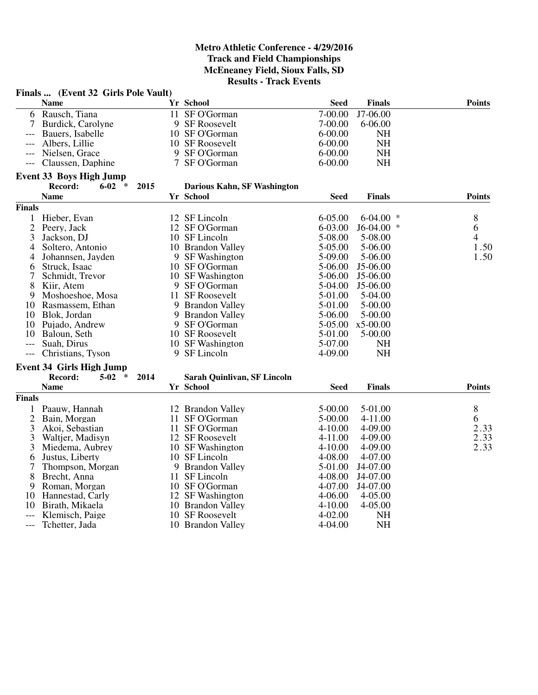|                     | Finals  (Event 32 Girls Pole Vault) |      |                             |             |               |               |
|---------------------|-------------------------------------|------|-----------------------------|-------------|---------------|---------------|
|                     | <b>Name</b>                         |      | Yr School                   | <b>Seed</b> | <b>Finals</b> | <b>Points</b> |
| 6                   | Rausch, Tiana                       |      | 11 SF O'Gorman              | 7-00.00     | J7-06.00      |               |
| 7                   | Burdick, Carolyne                   |      | 9 SF Roosevelt              | 7-00.00     | $6 - 06.00$   |               |
|                     | Bauers, Isabelle                    |      | 10 SF O'Gorman              | $6 - 00.00$ | <b>NH</b>     |               |
|                     | Albers, Lillie                      |      | 10 SF Roosevelt             | $6 - 00.00$ | <b>NH</b>     |               |
|                     | Nielsen, Grace                      |      | 9 SF O'Gorman               | $6 - 00.00$ | <b>NH</b>     |               |
|                     | Claussen, Daphine                   |      | 7 SF O'Gorman               | $6 - 00.00$ | <b>NH</b>     |               |
|                     | <b>Event 33 Boys High Jump</b>      |      |                             |             |               |               |
|                     | Record:<br>$6 - 02$<br>∗            | 2015 | Darious Kahn, SF Washington |             |               |               |
|                     | <b>Name</b>                         |      | Yr School                   | <b>Seed</b> | <b>Finals</b> | <b>Points</b> |
| <b>Finals</b>       |                                     |      |                             |             |               |               |
| 1                   | Hieber, Evan                        |      | 12 SF Lincoln               | 6-05.00     | 6-04.00       | 8             |
| $\overline{c}$      | Peery, Jack                         |      | 12 SF O'Gorman              | 6-03.00     | $J6-04.00$ *  | 6             |
| 3                   | Jackson, DJ                         |      | 10 SF Lincoln               | 5-08.00     | 5-08.00       | 4             |
| 4                   | Soltero, Antonio                    |      | 10 Brandon Valley           | 5-05.00     | 5-06.00       | 1.50          |
| 4                   | Johannsen, Jayden                   |      | 9 SF Washington             | 5-09.00     | 5-06.00       | 1.50          |
| 6                   | Struck, Isaac                       |      | 10 SF O'Gorman              | 5-06.00     | J5-06.00      |               |
| 7                   | Schmidt, Trevor                     |      | 10 SF Washington            | 5-06.00     | J5-06.00      |               |
| 8                   | Kiir, Atem                          |      | 9 SF O'Gorman               | 5-04.00     | J5-06.00      |               |
| 9                   | Moshoeshoe, Mosa                    |      | 11 SF Roosevelt             | 5-01.00     | 5-04.00       |               |
| 10                  | Rasmassem, Ethan                    | 9    | <b>Brandon Valley</b>       | 5-01.00     | 5-00.00       |               |
|                     | 10 Blok, Jordan                     |      | 9 Brandon Valley            | 5-06.00     | 5-00.00       |               |
| 10                  | Pujado, Andrew                      |      | 9 SF O'Gorman               | 5-05.00     | $x5-00.00$    |               |
| 10                  | Baloun, Seth                        |      | 10 SF Roosevelt             | 5-01.00     | 5-00.00       |               |
| $---$               | Suah, Dirus                         |      | 10 SF Washington            | 5-07.00     | NH            |               |
| $---$               | Christians, Tyson                   |      | 9 SF Lincoln                | 4-09.00     | <b>NH</b>     |               |
|                     | <b>Event 34 Girls High Jump</b>     |      |                             |             |               |               |
|                     | Record:<br>$5-02$<br>$\ast$         | 2014 | Sarah Quinlivan, SF Lincoln |             |               |               |
|                     | <b>Name</b>                         |      | Yr School                   | <b>Seed</b> | <b>Finals</b> | <b>Points</b> |
| <b>Finals</b>       |                                     |      |                             |             |               |               |
| 1                   | Paauw, Hannah                       |      | 12 Brandon Valley           | 5-00.00     | 5-01.00       | 8             |
| $\overline{c}$      | Bain, Morgan                        |      | 11 SF O'Gorman              | 5-00.00     | 4-11.00       | 6             |
| 3                   | Akoi, Sebastian                     |      | 11 SF O'Gorman              | 4-10.00     | 4-09.00       | 2.33          |
| 3                   | Waltjer, Madisyn                    |      | 12 SF Roosevelt             | 4-11.00     | 4-09.00       | 2.33          |
| 3                   | Miedema, Aubrey                     |      | 10 SF Washington            | 4-10.00     | 4-09.00       | 2.33          |
| 6                   | Justus, Liberty                     |      | 10 SF Lincoln               | 4-08.00     | 4-07.00       |               |
| 7                   | Thompson, Morgan                    |      | 9 Brandon Valley            | 5-01.00     | J4-07.00      |               |
| 8                   | Brecht, Anna                        |      | 11 SF Lincoln               | 4-08.00     | J4-07.00      |               |
| 9                   | Roman, Morgan                       |      | 10 SF O'Gorman              | 4-07.00     | J4-07.00      |               |
| 10                  | Hannestad, Carly                    |      | 12 SF Washington            | 4-06.00     | $4 - 05.00$   |               |
| 10                  | Birath, Mikaela                     |      | 10 Brandon Valley           | 4-10.00     | 4-05.00       |               |
|                     | Klemisch, Paige                     |      | 10 SF Roosevelt             | 4-02.00     | <b>NH</b>     |               |
|                     |                                     |      |                             |             | <b>NH</b>     |               |
| $\qquad \qquad - -$ | Tchetter, Jada                      |      | 10 Brandon Valley           | 4-04.00     |               |               |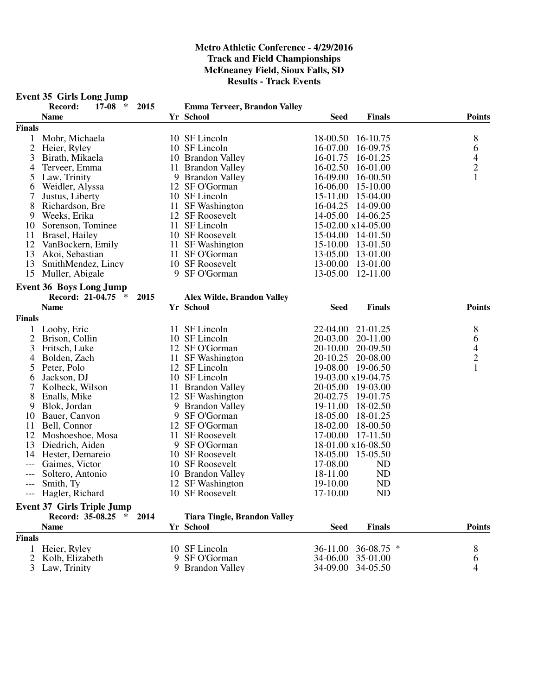#### **Event 35 Girls Long Jump Record: 17-08 \* 2015 Emma Terveer, Brandon Valley Name Yr School Seed Finals Points Finals** 1 Mohr, Michaela 10 SF Lincoln 18-00.50 16-10.75 8 2 Heier, Ryley 10 SF Lincoln 16-07.00 16-09.75 6<br>3 Birath, Mikaela 10 Brandon Valley 16-01.75 16-01.25 4 3 Birath, Mikaela 10 Brandon Valley 16-01.75 16-01.25 4<br>4 Terveer, Emma 11 Brandon Valley 16-02.50 16-01.00 2 11 Brandon Valley 16-02.50 16-01.00 2<br>
Law, Trinity 19 Brandon Valley 16-09.00 16-00.50 1 5 Law, Trinity 16-09.00 16-00.50<br>
6 Weidler, Alyssa 12 SF O'Gorman 16-06.00 15-10.00 6 Weidler, Alyssa 12 SF O'Gorman 16-06.00 15-10.00<br>
7 Justus, Liberty 10 SF Lincoln 15-11.00 15-04.00 15-11.00 15-04.00 8 Richardson, Bre 11 SF Washington 16-04.25 14-09.00<br>
9 Weeks. Erika 12 SF Roosevelt 14-05.00 14-06.25 9 Weeks, Erika 12 SF Roosevelt 14-05.00 14-06.25<br>10 Sorenson, Tominee 11 SF Lincoln 15-02.00 x14-05.00 Sorenson, Tominee 11 SF Lincoln<br>Brasel, Hailey 10 SF Roosevelt 11 Brasel, Hailey 10 SF Roosevelt 15-04.00 14-01.50<br>12 VanBockern, Emily 11 SF Washington 15-10.00 13-01.50 12 VanBockern, Emily 11 SF Washington 13 Akoi, Sebastian 11 SF O'Gorman 13-05.00 13-01.00 13 SmithMendez, Lincy 10 SF Roosevelt 13-00.00 13-01.00<br>15 Muller, Abigale 13-05.00 12-11.00 15 Muller, Abigale **Event 36 Boys Long Jump Record: 21-04.75 \* 2015 Alex Wilde, Brandon Valley Name Yr School Seed Finals Points Finals** 1 Looby, Eric 11 SF Lincoln 22-04.00 21-01.25 8<br>2 Brison, Collin 10 SF Lincoln 20-03.00 20-11.00 6 2 Brison, Collin 10 SF Lincoln 20-03.00 20-11.00 6<br>3 Fritsch, Luke 12 SF O'Gorman 20-10.00 20-09.50 4 3 Fritsch, Luke 12 SF O'Gorman 20-10.00 20-09.50 4<br>4 Bolden, Zach 11 SF Washington 20-10.25 20-08.00 2 4 Bolden, Zach 11 SF Washington 20-10.25 20-08.00 2<br>5 Peter, Polo 12 SF Lincoln 19-08.00 19-06.50 1 Peter, Polo 12 SF Lincoln 19-08.00 19-06.50<br>
Jackson, DJ 10 SF Lincoln 19-03.00 x19-04.75 6 Jackson, DJ 10 SF Lincoln 19-03.00 x19-04.75<br>
7 Kolbeck, Wilson 11 Brandon Valley 20-05.00 19-03.00 7 Kolbeck, Wilson 11 Brandon Valley 20-05.00 19-03.00<br>
8 Enalls, Mike 12 SF Washington 20-02.75 19-01.75 8 Enalls, Mike 12 SF Washington 20-02.75 19-01.75<br>
9 Blok, Jordan 19 - 11.00 18-02.50 9 Brandon Valley<br>9 SF O'Gorman 10 Bauer, Canyon 9 SF O'Gorman 18-05.00 18-01.25<br>
11 Bell, Connor 12 SF O'Gorman 18-02.00 18-00.50 11 Bell, Connor 12 SF O'Gorman 18-02.00 18-00.50<br>12 Moshoeshoe, Mosa 11 SF Roosevelt 17-00.00 17-11.50 Moshoeshoe, Mosa 11 SF Roosevelt<br>Diedrich, Aiden 9 SF O'Gorman 13 Diedrich, Aiden 9 SF O'Gorman 18-01.00 x16-08.50<br>14 Hester, Demareio 10 SF Roosevelt 18-05.00 15-05.50 Hester, Demareio 10 SF Roosevelt 18-05.00 15-05.50<br>
Gaimes, Victor 10 SF Roosevelt 17-08.00 ND --- Gaimes, Victor 10 SF Roosevelt --- Soltero, Antonio 10 Brandon Valley 18-11.00 ND Smith, Ty 12 SF Washington 19-10.00 ND<br>
Hagler, Richard 10 SF Roosevelt 17-10.00 ND 10 SF Roosevelt **Event 37 Girls Triple Jump**<br>**Record: 35-08.25 Record: 35-08.25 \* 2014 Tiara Tingle, Brandon Valley Name Yr School Seed Finals Points Finals** 1 Heier, Ryley 10 SF Lincoln 36-11.00 36-08.75 \* 8<br>2 Kolb, Elizabeth 9 SF O'Gorman 34-06.00 35-01.00 6 34-06.00 35-01.00

3 Law, Trinity 9 Brandon Valley 34-09.00 34-05.50 4